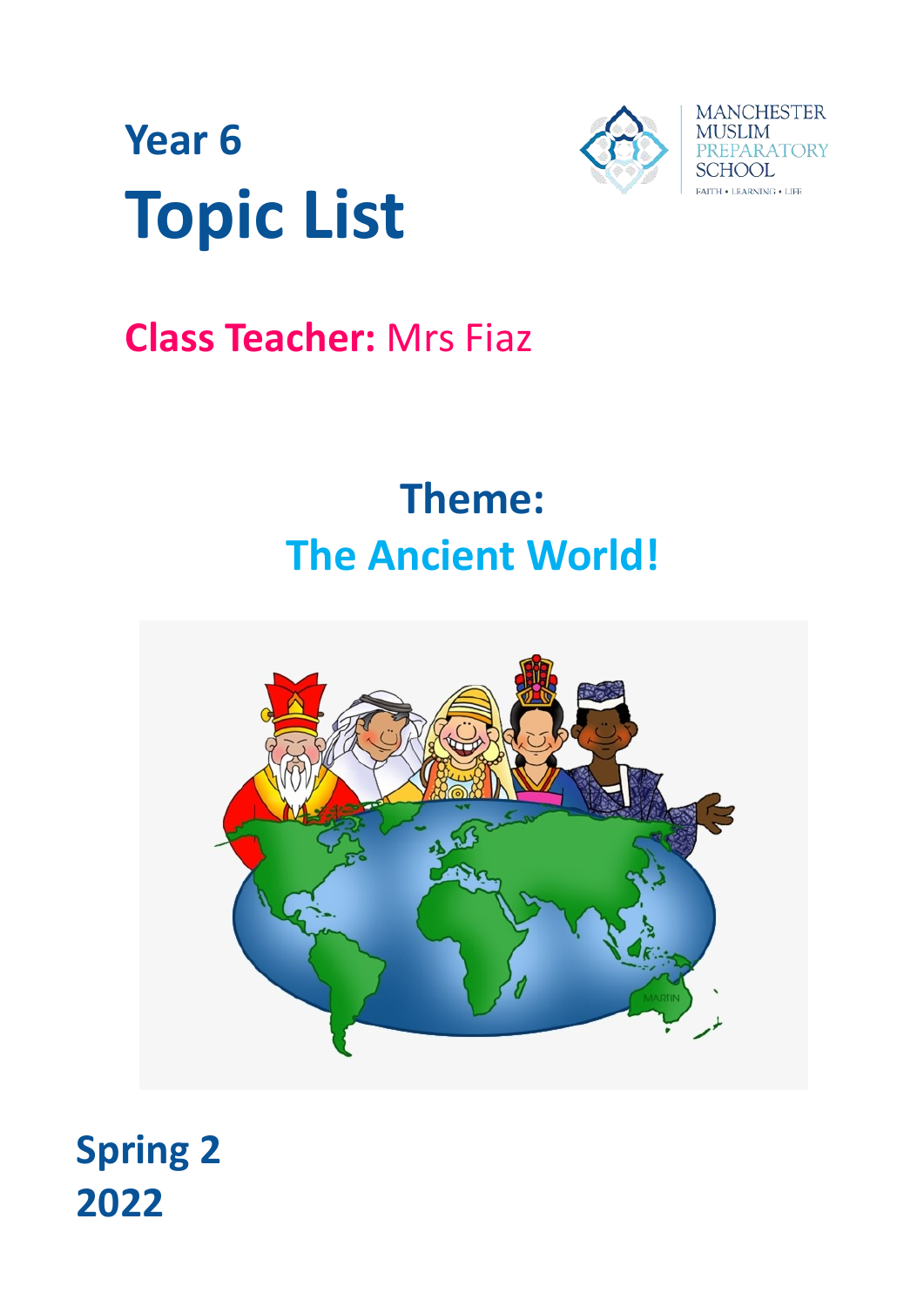

# **Year 6 Topic List**

### **Class Teacher:** Mrs Fiaz

## **Theme: The Ancient World!**



### **Spring 2 2022**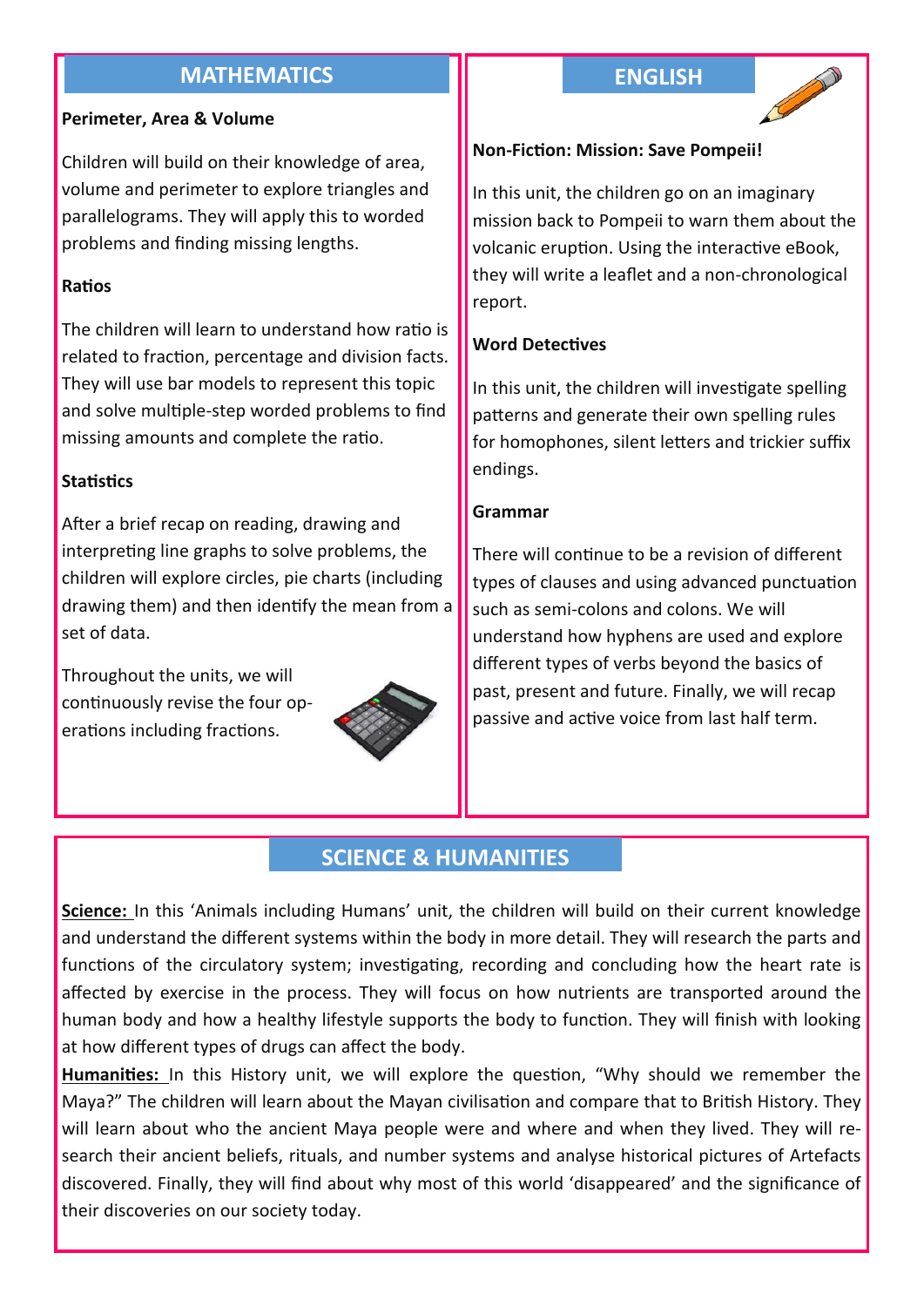#### **MATHEMATICS ENGLISH**

#### **Perimeter, Area & Volume**

Children will build on their knowledge of area, volume and perimeter to explore triangles and parallelograms. They will apply this to worded problems and finding missing lengths.

#### **Ratios**

The children will learn to understand how ratio is related to fraction, percentage and division facts. They will use bar models to represent this topic and solve multiple-step worded problems to find missing amounts and complete the ratio.

#### **Statistics**

After a brief recap on reading, drawing and interpreting line graphs to solve problems, the children will explore circles, pie charts (including drawing them) and then identify the mean from a set of data.

Throughout the units, we will continuously revise the four operations including fractions.





#### **Non-Fiction: Mission: Save Pompeii!**

In this unit, the children go on an imaginary mission back to Pompeii to warn them about the volcanic eruption. Using the interactive eBook, they will write a leaflet and a non-chronological report.

#### **Word Detectives**

In this unit, the children will investigate spelling patterns and generate their own spelling rules for homophones, silent letters and trickier suffix endings.

#### **Grammar**

There will continue to be a revision of different types of clauses and using advanced punctuation such as semi-colons and colons. We will understand how hyphens are used and explore different types of verbs beyond the basics of past, present and future. Finally, we will recap passive and active voice from last half term.

#### **SCIENCE & HUMANITIES**

**Science:** In this 'Animals including Humans' unit, the children will build on their current knowledge and understand the different systems within the body in more detail. They will research the parts and functions of the circulatory system; investigating, recording and concluding how the heart rate is affected by exercise in the process. They will focus on how nutrients are transported around the human body and how a healthy lifestyle supports the body to function. They will finish with looking at how different types of drugs can affect the body.

**Humanities:** In this History unit, we will explore the question, "Why should we remember the Maya?" The children will learn about the Mayan civilisation and compare that to British History. They will learn about who the ancient Maya people were and where and when they lived. They will research their ancient beliefs, rituals, and number systems and analyse historical pictures of Artefacts discovered. Finally, they will find about why most of this world 'disappeared' and the significance of their discoveries on our society today.